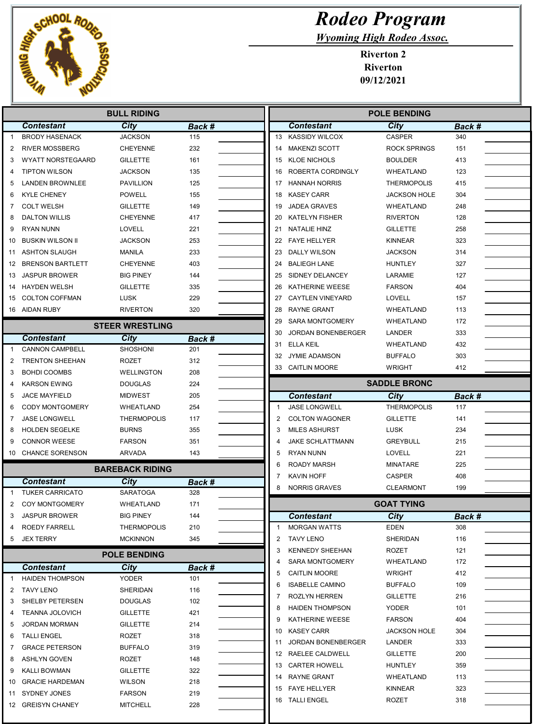

Wyoming High Rodeo Assoc.

Riverton 2 Riverton 09/12/2021

| <b>BULL RIDING</b> |                          |                                 |               |    | <b>POLE BENDING</b>                       |                            |               |  |
|--------------------|--------------------------|---------------------------------|---------------|----|-------------------------------------------|----------------------------|---------------|--|
|                    | <b>Contestant</b>        | City                            | Back #        |    | <b>Contestant</b>                         | City                       | Back #        |  |
| $\mathbf{1}$       | <b>BRODY HASENACK</b>    | <b>JACKSON</b>                  | 115           |    | 13 KASSIDY WILCOX                         | <b>CASPER</b>              | 340           |  |
| 2                  | <b>RIVER MOSSBERG</b>    | <b>CHEYENNE</b>                 | 232           | 14 | <b>MAKENZI SCOTT</b>                      | <b>ROCK SPRINGS</b>        | 151           |  |
| 3                  | <b>WYATT NORSTEGAARD</b> | <b>GILLETTE</b>                 | 161           | 15 | <b>KLOE NICHOLS</b>                       | <b>BOULDER</b>             | 413           |  |
|                    | <b>TIPTON WILSON</b>     | <b>JACKSON</b>                  | 135           | 16 | ROBERTA CORDINGLY                         | WHEATLAND                  | 123           |  |
| 5                  | <b>LANDEN BROWNLEE</b>   | <b>PAVILLION</b>                | 125           | 17 | <b>HANNAH NORRIS</b>                      | <b>THERMOPOLIS</b>         | 415           |  |
| 6                  | <b>KYLE CHENEY</b>       | <b>POWELL</b>                   | 155           | 18 | <b>KASEY CARR</b>                         | <b>JACKSON HOLE</b>        | 304           |  |
| 7                  | <b>COLT WELSH</b>        | <b>GILLETTE</b>                 | 149           | 19 | <b>JADEA GRAVES</b>                       | <b>WHEATLAND</b>           | 248           |  |
| 8                  | <b>DALTON WILLIS</b>     | <b>CHEYENNE</b>                 | 417           | 20 | <b>KATELYN FISHER</b>                     | <b>RIVERTON</b>            | 128           |  |
| 9                  | <b>RYAN NUNN</b>         | LOVELL                          | 221           | 21 | <b>NATALIE HINZ</b>                       | <b>GILLETTE</b>            | 258           |  |
| 10                 | <b>BUSKIN WILSON II</b>  | <b>JACKSON</b>                  | 253           | 22 | <b>FAYE HELLYER</b>                       | <b>KINNEAR</b>             | 323           |  |
| 11                 | <b>ASHTON SLAUGH</b>     | <b>MANILA</b>                   | 233           | 23 | DALLY WILSON                              | <b>JACKSON</b>             | 314           |  |
| 12                 | BRENSON BARTLETT         | <b>CHEYENNE</b>                 | 403           | 24 | <b>BALIEGH LANE</b>                       | HUNTLEY                    | 327           |  |
| 13                 | <b>JASPUR BROWER</b>     | <b>BIG PINEY</b>                | 144           | 25 | SIDNEY DELANCEY                           | LARAMIE                    | 127           |  |
| 14                 | <b>HAYDEN WELSH</b>      | <b>GILLETTE</b>                 | 335           | 26 | <b>KATHERINE WEESE</b>                    | <b>FARSON</b>              | 404           |  |
| 15                 | <b>COLTON COFFMAN</b>    | <b>LUSK</b>                     | 229           | 27 | <b>CAYTLEN VINEYARD</b>                   | LOVELL                     | 157           |  |
|                    | 16 AIDAN RUBY            | <b>RIVERTON</b>                 | 320           | 28 | <b>RAYNE GRANT</b>                        | <b>WHEATLAND</b>           | 113           |  |
|                    |                          | <b>STEER WRESTLING</b>          |               | 29 | <b>SARA MONTGOMERY</b>                    | WHEATLAND                  | 172           |  |
|                    |                          |                                 |               | 30 | JORDAN BONENBERGER                        | LANDER                     | 333           |  |
|                    | <b>Contestant</b>        | City                            | Back #        | 31 | <b>ELLA KEIL</b>                          | WHEATLAND                  | 432           |  |
| -1                 | <b>CANNON CAMPBELL</b>   | <b>SHOSHONI</b><br><b>ROZET</b> | 201           | 32 | <b>JYMIE ADAMSON</b>                      | <b>BUFFALO</b>             | 303           |  |
| $\overline{2}$     | <b>TRENTON SHEEHAN</b>   |                                 | 312           | 33 | <b>CAITLIN MOORE</b>                      | WRIGHT                     | 412           |  |
| 3                  | <b>BOHDI COOMBS</b>      | <b>WELLINGTON</b>               | 208           |    |                                           |                            |               |  |
| 4                  | <b>KARSON EWING</b>      | <b>DOUGLAS</b>                  | 224           |    |                                           | <b>SADDLE BRONC</b>        |               |  |
| 5                  | <b>JACE MAYFIELD</b>     | <b>MIDWEST</b>                  | 205           | 1  | <b>Contestant</b><br><b>JASE LONGWELL</b> | City<br><b>THERMOPOLIS</b> | Back #<br>117 |  |
| 6                  | <b>CODY MONTGOMERY</b>   | WHEATLAND                       | 254           |    |                                           |                            |               |  |
| 7                  | <b>JASE LONGWELL</b>     | <b>THERMOPOLIS</b>              | 117           | 2  | <b>COLTON WAGONER</b>                     | <b>GILLETTE</b>            | 141           |  |
| 8                  | <b>HOLDEN SEGELKE</b>    | <b>BURNS</b>                    | 355           | 3  | <b>MILES ASHURST</b>                      | LUSK                       | 234           |  |
| 9                  | <b>CONNOR WEESE</b>      | <b>FARSON</b>                   | 351           |    | <b>JAKE SCHLATTMANN</b>                   | <b>GREYBULL</b>            | 215           |  |
|                    | 10 CHANCE SORENSON       | ARVADA                          | 143           |    | RYAN NUNN                                 | LOVELL                     | 221           |  |
|                    |                          | <b>BAREBACK RIDING</b>          |               | 6  | ROADY MARSH                               | <b>MINATARE</b>            | 225           |  |
|                    | <b>Contestant</b>        | City                            | Back #        |    | KAVIN HOFF                                | <b>CASPER</b>              | 408           |  |
| -1                 | <b>TUKER CARRICATO</b>   | <b>SARATOGA</b>                 | 328           | 8  | <b>NORRIS GRAVES</b>                      | <b>CLEARMONT</b>           | 199           |  |
| 2                  | <b>COY MONTGOMERY</b>    | WHEATLAND                       | 171           |    |                                           | <b>GOAT TYING</b>          |               |  |
|                    | JASPUR BROWER            | <b>BIG PINEY</b>                | 144           |    | <b>Contestant</b>                         | <b>City</b>                | Back #        |  |
| 4                  | ROEDY FARRELL            | <b>THERMOPOLIS</b>              | 210           |    | <b>MORGAN WATTS</b>                       | EDEN                       | 308           |  |
|                    | 5 JEX TERRY              | <b>MCKINNON</b>                 | 345           | 2  | TAVY LENO                                 | SHERIDAN                   | 116           |  |
|                    |                          | <b>POLE BENDING</b>             |               | 3  | <b>KENNEDY SHEEHAN</b>                    | ROZET                      | 121           |  |
|                    | Contestant               | City                            |               |    | <b>SARA MONTGOMERY</b>                    | WHEATLAND                  | 172           |  |
| $\overline{1}$     | <b>HAIDEN THOMPSON</b>   | <b>YODER</b>                    | Back #<br>101 |    | <b>CAITLIN MOORE</b>                      | WRIGHT                     | 412           |  |
| 2                  | TAVY LENO                | SHERIDAN                        | 116           | 6  | <b>ISABELLE CAMINO</b>                    | <b>BUFFALO</b>             | 109           |  |
| 3                  | SHELBY PETERSEN          | DOUGLAS                         | 102           |    | ROZLYN HERREN                             | <b>GILLETTE</b>            | 216           |  |
| 4                  | <b>TEANNA JOLOVICH</b>   | <b>GILLETTE</b>                 | 421           |    | <b>HAIDEN THOMPSON</b>                    | YODER                      | 101           |  |
| 5                  | JORDAN MORMAN            | <b>GILLETTE</b>                 | 214           | 9  | KATHERINE WEESE                           | <b>FARSON</b>              | 404           |  |
| 6                  | <b>TALLI ENGEL</b>       | ROZET                           | 318           |    | 10 KASEY CARR                             | <b>JACKSON HOLE</b>        | 304           |  |
|                    | <b>GRACE PETERSON</b>    |                                 |               |    | 11 JORDAN BONENBERGER                     | LANDER                     | 333           |  |
| 7                  |                          | <b>BUFFALO</b>                  | 319           |    | 12 RAELEE CALDWELL                        | <b>GILLETTE</b>            | 200           |  |
| 8                  | ASHLYN GOVEN             | ROZET                           | 148           |    | 13 CARTER HOWELL                          | HUNTLEY                    | 359           |  |
| 9                  | KALLI BOWMAN             | <b>GILLETTE</b>                 | 322           |    | 14 RAYNE GRANT                            | WHEATLAND                  | 113           |  |
| 10                 | <b>GRACIE HARDEMAN</b>   | WILSON                          | 218           |    | 15 FAYE HELLYER                           | KINNEAR                    | 323           |  |
|                    | 11 SYDNEY JONES          | <b>FARSON</b>                   | 219           |    | 16 TALLI ENGEL                            | ROZET                      | 318           |  |
|                    | 12 GREISYN CHANEY        | <b>MITCHELL</b>                 | 228           |    |                                           |                            |               |  |

Ш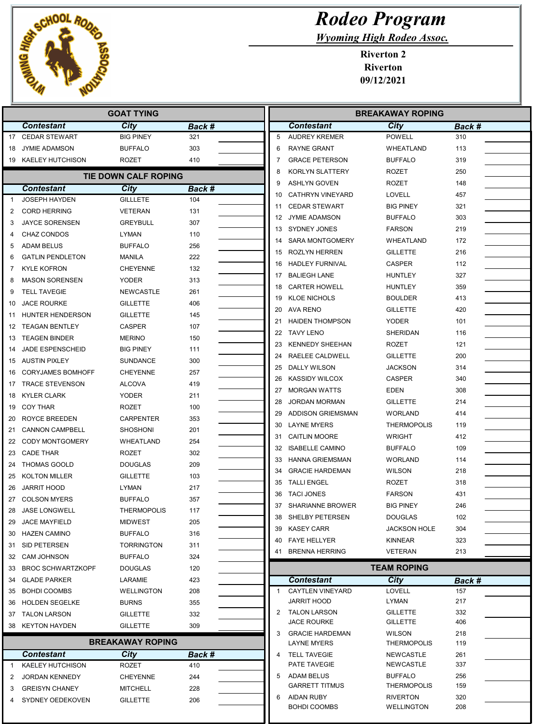

Wyoming High Rodeo Assoc.

Riverton 2 Riverton 09/12/2021

|             | <b>GOAT TYING</b>        |                             |        |    | <b>BREAKAWAY ROPING</b>                      |                                       |            |  |
|-------------|--------------------------|-----------------------------|--------|----|----------------------------------------------|---------------------------------------|------------|--|
|             | <b>Contestant</b>        | <b>City</b>                 | Back # |    | <b>Contestant</b>                            | <b>City</b>                           | Back #     |  |
| 17          | <b>CEDAR STEWART</b>     | <b>BIG PINEY</b>            | 321    | 5  | <b>AUDREY KREMER</b>                         | <b>POWELL</b>                         | 310        |  |
| 18          | JYMIE ADAMSON            | <b>BUFFALO</b>              | 303    | 6  | <b>RAYNE GRANT</b>                           | WHEATLAND                             | 113        |  |
|             | 19 KAELEY HUTCHISON      | ROZET                       | 410    | 7  | <b>GRACE PETERSON</b>                        | <b>BUFFALO</b>                        | 319        |  |
|             |                          | <b>TIE DOWN CALF ROPING</b> |        | 8  | KORLYN SLATTERY                              | ROZET                                 | 250        |  |
|             | <b>Contestant</b>        | City                        | Back # | 9  | ASHLYN GOVEN                                 | ROZET                                 | 148        |  |
| -1          | <b>JOSEPH HAYDEN</b>     | <b>GILLLETE</b>             | 104    | 10 | <b>CATHRYN VINEYARD</b>                      | <b>LOVELL</b>                         | 457        |  |
| 2           | <b>CORD HERRING</b>      | <b>VETERAN</b>              | 131    | 11 | <b>CEDAR STEWART</b>                         | <b>BIG PINEY</b>                      | 321        |  |
| 3           | <b>JAYCE SORENSEN</b>    | <b>GREYBULL</b>             | 307    | 12 | <b>JYMIE ADAMSON</b>                         | <b>BUFFALO</b>                        | 303        |  |
| 4           | CHAZ CONDOS              | LYMAN                       | 110    | 13 | <b>SYDNEY JONES</b>                          | <b>FARSON</b>                         | 219        |  |
| 5           | ADAM BELUS               | <b>BUFFALO</b>              | 256    | 14 | <b>SARA MONTGOMERY</b>                       | WHEATLAND                             | 172        |  |
| 6           | <b>GATLIN PENDLETON</b>  | <b>MANILA</b>               | 222    | 15 | <b>ROZLYN HERREN</b>                         | <b>GILLETTE</b>                       | 216        |  |
| 7           | <b>KYLE KOFRON</b>       | <b>CHEYENNE</b>             | 132    | 16 | <b>HADLEY FURNIVAL</b>                       | <b>CASPER</b>                         | 112        |  |
| 8           | <b>MASON SORENSEN</b>    | <b>YODER</b>                | 313    | 17 | <b>BALIEGH LANE</b>                          | HUNTLEY                               | 327        |  |
| 9           | <b>TELL TAVEGIE</b>      | <b>NEWCASTLE</b>            | 261    | 18 | <b>CARTER HOWELL</b>                         | HUNTLEY                               | 359        |  |
| 10          | <b>JACE ROURKE</b>       | <b>GILLETTE</b>             | 406    | 19 | <b>KLOE NICHOLS</b>                          | <b>BOULDER</b>                        | 413        |  |
| 11          | HUNTER HENDERSON         | <b>GILLETTE</b>             | 145    | 20 | <b>AVA RENO</b>                              | <b>GILLETTE</b>                       | 420        |  |
| 12          | <b>TEAGAN BENTLEY</b>    | <b>CASPER</b>               | 107    | 21 | <b>HAIDEN THOMPSON</b>                       | YODER                                 | 101        |  |
| 13          | <b>TEAGEN BINDER</b>     | <b>MERINO</b>               | 150    | 22 | TAVY LENO                                    | SHERIDAN                              | 116        |  |
|             | <b>JADE ESPENSCHEID</b>  | <b>BIG PINEY</b>            | 111    | 23 | <b>KENNEDY SHEEHAN</b>                       | <b>ROZET</b>                          | 121        |  |
| 15          | AUSTIN PIXLEY            | <b>SUNDANCE</b>             | 300    | 24 | RAELEE CALDWELL                              | <b>GILLETTE</b>                       | 200        |  |
| 16          | <b>CORYJAMES BOMHOFF</b> | <b>CHEYENNE</b>             | 257    | 25 | DALLY WILSON                                 | <b>JACKSON</b>                        | 314        |  |
| 17          | <b>TRACE STEVENSON</b>   | <b>ALCOVA</b>               | 419    | 26 | <b>KASSIDY WILCOX</b>                        | <b>CASPER</b>                         | 340        |  |
| 18          | <b>KYLER CLARK</b>       | <b>YODER</b>                | 211    | 27 | <b>MORGAN WATTS</b>                          | EDEN                                  | 308        |  |
| 19          | <b>COY THAR</b>          | <b>ROZET</b>                | 100    | 28 | <b>JORDAN MORMAN</b>                         | <b>GILLETTE</b>                       | 214        |  |
| 20          | ROYCE BREEDEN            | <b>CARPENTER</b>            | 353    | 29 | ADDISON GRIEMSMAN                            | WORLAND                               | 414        |  |
| 21          | <b>CANNON CAMPBELL</b>   | <b>SHOSHONI</b>             | 201    | 30 | <b>LAYNE MYERS</b>                           | <b>THERMOPOLIS</b>                    | 119        |  |
| 22          | <b>CODY MONTGOMERY</b>   | WHEATLAND                   | 254    | 31 | <b>CAITLIN MOORE</b>                         | <b>WRIGHT</b>                         | 412        |  |
| 23          | <b>CADE THAR</b>         | ROZET                       | 302    | 32 | <b>ISABELLE CAMINO</b>                       | <b>BUFFALO</b>                        | 109        |  |
| 24          | <b>THOMAS GOOLD</b>      | <b>DOUGLAS</b>              | 209    | 33 | <b>HANNA GRIEMSMAN</b>                       | WORLAND                               | 114        |  |
| 25          | <b>KOLTON MILLER</b>     | <b>GILLETTE</b>             | 103    | 34 | <b>GRACIE HARDEMAN</b>                       | <b>WILSON</b>                         | 218        |  |
| 26          | <b>JARRIT HOOD</b>       | LYMAN                       | 217    | 35 | <b>TALLI ENGEL</b>                           | ROZET                                 | 318        |  |
| 27          | <b>COLSON MYERS</b>      | <b>BUFFALO</b>              | 357    | 36 | <b>TACI JONES</b>                            | <b>FARSON</b>                         | 431        |  |
|             | 28 JASE LONGWELL         | <b>THERMOPOLIS</b>          | 117    |    | 37 SHARIANNE BROWER                          | <b>BIG PINEY</b>                      | 246        |  |
|             | 29 JACE MAYFIELD         | MIDWEST                     | 205    | 38 | SHELBY PETERSEN                              | <b>DOUGLAS</b>                        | 102        |  |
|             | 30 HAZEN CAMINO          | <b>BUFFALO</b>              | 316    |    | 39 KASEY CARR                                | <b>JACKSON HOLE</b><br><b>KINNEAR</b> | 304        |  |
|             | 31 SID PETERSEN          | <b>TORRINGTON</b>           | 311    |    | 40 FAYE HELLYER                              |                                       | 323        |  |
|             | 32 CAM JOHNSON           | <b>BUFFALO</b>              | 324    |    | 41 BRENNA HERRING                            | VETERAN                               | 213        |  |
| 33          | <b>BROC SCHWARTZKOPF</b> | <b>DOUGLAS</b>              | 120    |    |                                              | <b>TEAM ROPING</b>                    |            |  |
| 34          | <b>GLADE PARKER</b>      | LARAMIE                     | 423    |    | <b>Contestant</b>                            | <b>City</b>                           | Back #     |  |
| 35          | <b>BOHDI COOMBS</b>      | <b>WELLINGTON</b>           | 208    | 1  | <b>CAYTLEN VINEYARD</b>                      | LOVELL                                | 157        |  |
| 36          | <b>HOLDEN SEGELKE</b>    | <b>BURNS</b>                | 355    |    | JARRIT HOOD                                  | LYMAN                                 | 217        |  |
|             | 37 TALON LARSON          | <b>GILLETTE</b>             | 332    |    | 2 TALON LARSON                               | <b>GILLETTE</b>                       | 332        |  |
|             | 38 KEYTON HAYDEN         | <b>GILLETTE</b>             | 309    | 3  | <b>JACE ROURKE</b><br><b>GRACIE HARDEMAN</b> | <b>GILLETTE</b><br><b>WILSON</b>      | 406<br>218 |  |
|             |                          | <b>BREAKAWAY ROPING</b>     |        |    | <b>LAYNE MYERS</b>                           | <b>THERMOPOLIS</b>                    | 119        |  |
|             | <b>Contestant</b>        | City                        | Back # |    | 4 TELL TAVEGIE                               | NEWCASTLE                             | 261        |  |
| $\mathbf 1$ | <b>KAELEY HUTCHISON</b>  | ROZET                       | 410    |    | PATE TAVEGIE                                 | NEWCASTLE                             | 337        |  |
| 2           | <b>JORDAN KENNEDY</b>    | <b>CHEYENNE</b>             | 244    |    | 5 ADAM BELUS                                 | <b>BUFFALO</b>                        | 256        |  |
| 3           | <b>GREISYN CHANEY</b>    | <b>MITCHELL</b>             | 228    |    | <b>GARRETT TITMUS</b>                        | <b>THERMOPOLIS</b>                    | 159        |  |
|             | SYDNEY OEDEKOVEN         | <b>GILLETTE</b>             | 206    | 6  | AIDAN RUBY                                   | <b>RIVERTON</b>                       | 320        |  |
|             |                          |                             |        |    | <b>BOHDI COOMBS</b>                          | WELLINGTON                            | 208        |  |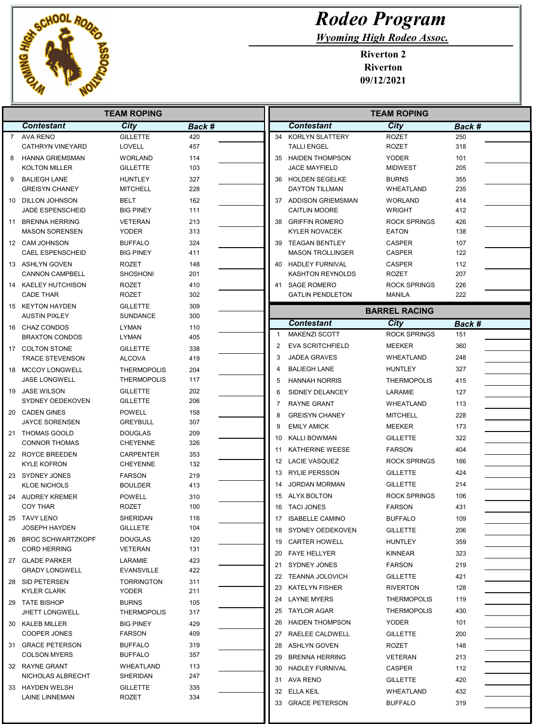

Wyoming High Rodeo Assoc.

Riverton 2 Riverton 09/12/2021

| City<br>City<br><b>Contestant</b><br>Back #<br><b>Contestant</b><br>Back #<br>AVA RENO<br><b>GILLETTE</b><br>420<br>34 KORLYN SLATTERY<br><b>ROZET</b><br>250<br>$\overline{7}$<br>LOVELL<br>457<br><b>ROZET</b><br>318<br><b>CATHRYN VINEYARD</b><br>TALLI ENGEL<br><b>HANNA GRIEMSMAN</b><br>35 HAIDEN THOMPSON<br><b>YODER</b><br><b>WORLAND</b><br>114<br>101<br>8<br>KOLTON MILLER<br><b>GILLETTE</b><br>103<br><b>JACE MAYFIELD</b><br><b>MIDWEST</b><br>205<br><b>BALIEGH LANE</b><br><b>HUNTLEY</b><br>327<br>36 HOLDEN SEGELKE<br><b>BURNS</b><br>355<br>9<br><b>GREISYN CHANEY</b><br><b>MITCHELL</b><br>228<br><b>DAYTON TILLMAN</b><br>235<br>WHEATLAND<br>162<br>414<br><b>DILLON JOHNSON</b><br><b>BELT</b><br>37 ADDISON GRIEMSMAN<br><b>WORLAND</b><br>10<br>111<br>412<br><b>JADE ESPENSCHEID</b><br><b>BIG PINEY</b><br><b>CAITLIN MOORE</b><br><b>WRIGHT</b><br>11 BRENNA HERRING<br><b>VETERAN</b><br>213<br>38 GRIFFIN ROMERO<br><b>ROCK SPRINGS</b><br>426<br>138<br><b>MASON SORENSEN</b><br>YODER<br>313<br>KYLER NOVACEK<br><b>EATON</b><br>324<br><b>CASPER</b><br>107<br>12 CAM JOHNSON<br><b>BUFFALO</b><br>39 TEAGAN BENTLEY<br>411<br><b>CASPER</b><br>122<br><b>CAEL ESPENSCHEID</b><br><b>BIG PINEY</b><br><b>MASON TROLLINGER</b><br>112<br>13 ASHLYN GOVEN<br><b>ROZET</b><br>148<br>40 HADLEY FURNIVAL<br><b>CASPER</b><br>207<br><b>SHOSHONI</b><br>201<br><b>KASHTON REYNOLDS</b><br><b>ROZET</b><br><b>CANNON CAMPBELL</b><br>41 SAGE ROMERO<br><b>ROCK SPRINGS</b><br>226<br>14 KAELEY HUTCHISON<br><b>ROZET</b><br>410<br>222<br><b>CADE THAR</b><br><b>ROZET</b><br>302<br><b>GATLIN PENDLETON</b><br><b>MANILA</b><br>15 KEYTON HAYDEN<br><b>GILLETTE</b><br>309<br><b>BARREL RACING</b><br><b>AUSTIN PIXLEY</b><br>SUNDANCE<br>300<br>City<br><b>Contestant</b><br>Back #<br>16 CHAZ CONDOS<br><b>LYMAN</b><br>110<br><b>MAKENZI SCOTT</b><br><b>ROCK SPRINGS</b><br>151<br>1<br><b>BRAXTON CONDOS</b><br>405<br>LYMAN<br>360<br>$\overline{2}$<br><b>EVA SCRITCHFIELD</b><br>MEEKER<br>338<br>17 COLTON STONE<br><b>GILLETTE</b><br><b>JADEA GRAVES</b><br>248<br>419<br>3<br>WHEATLAND<br><b>TRACE STEVENSON</b><br><b>ALCOVA</b><br>327<br><b>BALIEGH LANE</b><br><b>HUNTLEY</b><br><b>MCCOY LONGWELL</b><br><b>THERMOPOLIS</b><br>204<br>4<br>18<br><b>JASE LONGWELL</b><br><b>THERMOPOLIS</b><br>117<br><b>HANNAH NORRIS</b><br><b>THERMOPOLIS</b><br>415<br>5<br>202<br>JASE WILSON<br>19<br><b>GILLETTE</b><br>127<br>SIDNEY DELANCEY<br>LARAMIE<br>206<br>SYDNEY OEDEKOVEN<br><b>GILLETTE</b><br>113<br>7<br><b>RAYNE GRANT</b><br>WHEATLAND<br>20 CADEN GINES<br><b>POWELL</b><br>158<br><b>GREISYN CHANEY</b><br><b>MITCHELL</b><br>228<br>8<br><b>JAYCE SORENSEN</b><br><b>GREYBULL</b><br>307<br>173<br>9<br><b>EMILY AMICK</b><br><b>MEEKER</b><br>21 THOMAS GOOLD<br><b>DOUGLAS</b><br>209<br>322<br><b>KALLI BOWMAN</b><br><b>GILLETTE</b><br>10<br>326<br><b>CONNOR THOMAS</b><br><b>CHEYENNE</b><br>404<br><b>KATHERINE WEESE</b><br><b>FARSON</b><br>11<br>ROYCE BREEDEN<br><b>CARPENTER</b><br>353<br>22<br>12 LACIE VASQUEZ<br><b>ROCK SPRINGS</b><br>166<br>KYLE KOFRON<br><b>CHEYENNE</b><br>132<br>RYLIE PERSSON<br><b>GILLETTE</b><br>424<br>13<br>SYDNEY JONES<br><b>FARSON</b><br>219<br>23<br><b>JORDAN MORMAN</b><br><b>GILLETTE</b><br>214<br>14<br>KLOE NICHOLS<br><b>BOULDER</b><br>413<br><b>ROCK SPRINGS</b><br><b>ALYX BOLTON</b><br>106<br>15<br>AUDREY KREMER<br><b>POWELL</b><br>310<br>24<br><b>COY THAR</b><br>ROZET<br>100<br>16 TACI JONES<br><b>FARSON</b><br>431<br>25<br>TAVY LENO<br>SHERIDAN<br>116<br>17 ISABELLE CAMINO<br><b>BUFFALO</b><br>109<br><b>JOSEPH HAYDEN</b><br><b>GILLLETE</b><br>104<br>18 SYDNEY OEDEKOVEN<br><b>GILLETTE</b><br>206<br>26 BROC SCHWARTZKOPF<br><b>DOUGLAS</b><br>120<br>19 CARTER HOWELL<br><b>HUNTLEY</b><br>359<br><b>CORD HERRING</b><br>131<br>VETERAN<br>20 FAYE HELLYER<br><b>KINNEAR</b><br>323<br>27 GLADE PARKER<br>423<br><b>LARAMIE</b><br>21 SYDNEY JONES<br><b>FARSON</b><br>219<br>422<br><b>GRADY LONGWELL</b><br><b>EVANSVILLE</b><br>22 TEANNA JOLOVICH<br>421<br><b>GILLETTE</b><br>28 SID PETERSEN<br>311<br><b>TORRINGTON</b><br>23 KATELYN FISHER<br>128<br><b>RIVERTON</b><br><b>YODER</b><br>211<br>KYLER CLARK<br>24 LAYNE MYERS<br><b>THERMOPOLIS</b><br>119<br>29 TATE BISHOP<br><b>BURNS</b><br>105<br>25 TAYLOR AGAR<br><b>THERMOPOLIS</b><br>430<br>317<br><b>JHETT LONGWELL</b><br><b>THERMOPOLIS</b><br>26 HAIDEN THOMPSON<br><b>YODER</b><br>101<br>30 KALEB MILLER<br><b>BIG PINEY</b><br>429<br>COOPER JONES<br><b>FARSON</b><br>409<br>27 RAELEE CALDWELL<br><b>GILLETTE</b><br>200<br>31 GRACE PETERSON<br><b>BUFFALO</b><br>319<br>28 ASHLYN GOVEN<br>ROZET<br>148<br><b>COLSON MYERS</b><br><b>BUFFALO</b><br>357<br>29 BRENNA HERRING<br><b>VETERAN</b><br>213<br>32 RAYNE GRANT<br>WHEATLAND<br>113<br>30 HADLEY FURNIVAL<br>CASPER<br>112<br>247<br>NICHOLAS ALBRECHT<br>SHERIDAN<br>31 AVA RENO<br>420<br><b>GILLETTE</b><br>33 HAYDEN WELSH<br>335<br><b>GILLETTE</b><br>32 ELLA KEIL<br>432<br>WHEATLAND<br>ROZET<br>334<br>LAINE LINNEMAN<br>33 GRACE PETERSON<br><b>BUFFALO</b><br>319 | <b>TEAM ROPING</b> |  |  |  | <b>TEAM ROPING</b> |  |  |  |
|-----------------------------------------------------------------------------------------------------------------------------------------------------------------------------------------------------------------------------------------------------------------------------------------------------------------------------------------------------------------------------------------------------------------------------------------------------------------------------------------------------------------------------------------------------------------------------------------------------------------------------------------------------------------------------------------------------------------------------------------------------------------------------------------------------------------------------------------------------------------------------------------------------------------------------------------------------------------------------------------------------------------------------------------------------------------------------------------------------------------------------------------------------------------------------------------------------------------------------------------------------------------------------------------------------------------------------------------------------------------------------------------------------------------------------------------------------------------------------------------------------------------------------------------------------------------------------------------------------------------------------------------------------------------------------------------------------------------------------------------------------------------------------------------------------------------------------------------------------------------------------------------------------------------------------------------------------------------------------------------------------------------------------------------------------------------------------------------------------------------------------------------------------------------------------------------------------------------------------------------------------------------------------------------------------------------------------------------------------------------------------------------------------------------------------------------------------------------------------------------------------------------------------------------------------------------------------------------------------------------------------------------------------------------------------------------------------------------------------------------------------------------------------------------------------------------------------------------------------------------------------------------------------------------------------------------------------------------------------------------------------------------------------------------------------------------------------------------------------------------------------------------------------------------------------------------------------------------------------------------------------------------------------------------------------------------------------------------------------------------------------------------------------------------------------------------------------------------------------------------------------------------------------------------------------------------------------------------------------------------------------------------------------------------------------------------------------------------------------------------------------------------------------------------------------------------------------------------------------------------------------------------------------------------------------------------------------------------------------------------------------------------------------------------------------------------------------------------------------------------------------------------------------------------------------------------------------------------------------------------------------------------------------------------------------------------------------------------------------------------------------------------------------------------------------------------------------------------------------------------------------------------------------------------------------------------------------------------------------------------------------------------------------------------------------------------------------------------------------------------------------------------------------------------------------------------------------------------------------------------------------------------------------------------------------------------------------------------------------------------------------------------------------------------------------------------------------------------------------------------------------------------------------------------|--------------------|--|--|--|--------------------|--|--|--|
|                                                                                                                                                                                                                                                                                                                                                                                                                                                                                                                                                                                                                                                                                                                                                                                                                                                                                                                                                                                                                                                                                                                                                                                                                                                                                                                                                                                                                                                                                                                                                                                                                                                                                                                                                                                                                                                                                                                                                                                                                                                                                                                                                                                                                                                                                                                                                                                                                                                                                                                                                                                                                                                                                                                                                                                                                                                                                                                                                                                                                                                                                                                                                                                                                                                                                                                                                                                                                                                                                                                                                                                                                                                                                                                                                                                                                                                                                                                                                                                                                                                                                                                                                                                                                                                                                                                                                                                                                                                                                                                                                                                                                                                                                                                                                                                                                                                                                                                                                                                                                                                                                                                                                                 |                    |  |  |  |                    |  |  |  |
|                                                                                                                                                                                                                                                                                                                                                                                                                                                                                                                                                                                                                                                                                                                                                                                                                                                                                                                                                                                                                                                                                                                                                                                                                                                                                                                                                                                                                                                                                                                                                                                                                                                                                                                                                                                                                                                                                                                                                                                                                                                                                                                                                                                                                                                                                                                                                                                                                                                                                                                                                                                                                                                                                                                                                                                                                                                                                                                                                                                                                                                                                                                                                                                                                                                                                                                                                                                                                                                                                                                                                                                                                                                                                                                                                                                                                                                                                                                                                                                                                                                                                                                                                                                                                                                                                                                                                                                                                                                                                                                                                                                                                                                                                                                                                                                                                                                                                                                                                                                                                                                                                                                                                                 |                    |  |  |  |                    |  |  |  |
|                                                                                                                                                                                                                                                                                                                                                                                                                                                                                                                                                                                                                                                                                                                                                                                                                                                                                                                                                                                                                                                                                                                                                                                                                                                                                                                                                                                                                                                                                                                                                                                                                                                                                                                                                                                                                                                                                                                                                                                                                                                                                                                                                                                                                                                                                                                                                                                                                                                                                                                                                                                                                                                                                                                                                                                                                                                                                                                                                                                                                                                                                                                                                                                                                                                                                                                                                                                                                                                                                                                                                                                                                                                                                                                                                                                                                                                                                                                                                                                                                                                                                                                                                                                                                                                                                                                                                                                                                                                                                                                                                                                                                                                                                                                                                                                                                                                                                                                                                                                                                                                                                                                                                                 |                    |  |  |  |                    |  |  |  |
|                                                                                                                                                                                                                                                                                                                                                                                                                                                                                                                                                                                                                                                                                                                                                                                                                                                                                                                                                                                                                                                                                                                                                                                                                                                                                                                                                                                                                                                                                                                                                                                                                                                                                                                                                                                                                                                                                                                                                                                                                                                                                                                                                                                                                                                                                                                                                                                                                                                                                                                                                                                                                                                                                                                                                                                                                                                                                                                                                                                                                                                                                                                                                                                                                                                                                                                                                                                                                                                                                                                                                                                                                                                                                                                                                                                                                                                                                                                                                                                                                                                                                                                                                                                                                                                                                                                                                                                                                                                                                                                                                                                                                                                                                                                                                                                                                                                                                                                                                                                                                                                                                                                                                                 |                    |  |  |  |                    |  |  |  |
|                                                                                                                                                                                                                                                                                                                                                                                                                                                                                                                                                                                                                                                                                                                                                                                                                                                                                                                                                                                                                                                                                                                                                                                                                                                                                                                                                                                                                                                                                                                                                                                                                                                                                                                                                                                                                                                                                                                                                                                                                                                                                                                                                                                                                                                                                                                                                                                                                                                                                                                                                                                                                                                                                                                                                                                                                                                                                                                                                                                                                                                                                                                                                                                                                                                                                                                                                                                                                                                                                                                                                                                                                                                                                                                                                                                                                                                                                                                                                                                                                                                                                                                                                                                                                                                                                                                                                                                                                                                                                                                                                                                                                                                                                                                                                                                                                                                                                                                                                                                                                                                                                                                                                                 |                    |  |  |  |                    |  |  |  |
|                                                                                                                                                                                                                                                                                                                                                                                                                                                                                                                                                                                                                                                                                                                                                                                                                                                                                                                                                                                                                                                                                                                                                                                                                                                                                                                                                                                                                                                                                                                                                                                                                                                                                                                                                                                                                                                                                                                                                                                                                                                                                                                                                                                                                                                                                                                                                                                                                                                                                                                                                                                                                                                                                                                                                                                                                                                                                                                                                                                                                                                                                                                                                                                                                                                                                                                                                                                                                                                                                                                                                                                                                                                                                                                                                                                                                                                                                                                                                                                                                                                                                                                                                                                                                                                                                                                                                                                                                                                                                                                                                                                                                                                                                                                                                                                                                                                                                                                                                                                                                                                                                                                                                                 |                    |  |  |  |                    |  |  |  |
|                                                                                                                                                                                                                                                                                                                                                                                                                                                                                                                                                                                                                                                                                                                                                                                                                                                                                                                                                                                                                                                                                                                                                                                                                                                                                                                                                                                                                                                                                                                                                                                                                                                                                                                                                                                                                                                                                                                                                                                                                                                                                                                                                                                                                                                                                                                                                                                                                                                                                                                                                                                                                                                                                                                                                                                                                                                                                                                                                                                                                                                                                                                                                                                                                                                                                                                                                                                                                                                                                                                                                                                                                                                                                                                                                                                                                                                                                                                                                                                                                                                                                                                                                                                                                                                                                                                                                                                                                                                                                                                                                                                                                                                                                                                                                                                                                                                                                                                                                                                                                                                                                                                                                                 |                    |  |  |  |                    |  |  |  |
|                                                                                                                                                                                                                                                                                                                                                                                                                                                                                                                                                                                                                                                                                                                                                                                                                                                                                                                                                                                                                                                                                                                                                                                                                                                                                                                                                                                                                                                                                                                                                                                                                                                                                                                                                                                                                                                                                                                                                                                                                                                                                                                                                                                                                                                                                                                                                                                                                                                                                                                                                                                                                                                                                                                                                                                                                                                                                                                                                                                                                                                                                                                                                                                                                                                                                                                                                                                                                                                                                                                                                                                                                                                                                                                                                                                                                                                                                                                                                                                                                                                                                                                                                                                                                                                                                                                                                                                                                                                                                                                                                                                                                                                                                                                                                                                                                                                                                                                                                                                                                                                                                                                                                                 |                    |  |  |  |                    |  |  |  |
|                                                                                                                                                                                                                                                                                                                                                                                                                                                                                                                                                                                                                                                                                                                                                                                                                                                                                                                                                                                                                                                                                                                                                                                                                                                                                                                                                                                                                                                                                                                                                                                                                                                                                                                                                                                                                                                                                                                                                                                                                                                                                                                                                                                                                                                                                                                                                                                                                                                                                                                                                                                                                                                                                                                                                                                                                                                                                                                                                                                                                                                                                                                                                                                                                                                                                                                                                                                                                                                                                                                                                                                                                                                                                                                                                                                                                                                                                                                                                                                                                                                                                                                                                                                                                                                                                                                                                                                                                                                                                                                                                                                                                                                                                                                                                                                                                                                                                                                                                                                                                                                                                                                                                                 |                    |  |  |  |                    |  |  |  |
|                                                                                                                                                                                                                                                                                                                                                                                                                                                                                                                                                                                                                                                                                                                                                                                                                                                                                                                                                                                                                                                                                                                                                                                                                                                                                                                                                                                                                                                                                                                                                                                                                                                                                                                                                                                                                                                                                                                                                                                                                                                                                                                                                                                                                                                                                                                                                                                                                                                                                                                                                                                                                                                                                                                                                                                                                                                                                                                                                                                                                                                                                                                                                                                                                                                                                                                                                                                                                                                                                                                                                                                                                                                                                                                                                                                                                                                                                                                                                                                                                                                                                                                                                                                                                                                                                                                                                                                                                                                                                                                                                                                                                                                                                                                                                                                                                                                                                                                                                                                                                                                                                                                                                                 |                    |  |  |  |                    |  |  |  |
|                                                                                                                                                                                                                                                                                                                                                                                                                                                                                                                                                                                                                                                                                                                                                                                                                                                                                                                                                                                                                                                                                                                                                                                                                                                                                                                                                                                                                                                                                                                                                                                                                                                                                                                                                                                                                                                                                                                                                                                                                                                                                                                                                                                                                                                                                                                                                                                                                                                                                                                                                                                                                                                                                                                                                                                                                                                                                                                                                                                                                                                                                                                                                                                                                                                                                                                                                                                                                                                                                                                                                                                                                                                                                                                                                                                                                                                                                                                                                                                                                                                                                                                                                                                                                                                                                                                                                                                                                                                                                                                                                                                                                                                                                                                                                                                                                                                                                                                                                                                                                                                                                                                                                                 |                    |  |  |  |                    |  |  |  |
|                                                                                                                                                                                                                                                                                                                                                                                                                                                                                                                                                                                                                                                                                                                                                                                                                                                                                                                                                                                                                                                                                                                                                                                                                                                                                                                                                                                                                                                                                                                                                                                                                                                                                                                                                                                                                                                                                                                                                                                                                                                                                                                                                                                                                                                                                                                                                                                                                                                                                                                                                                                                                                                                                                                                                                                                                                                                                                                                                                                                                                                                                                                                                                                                                                                                                                                                                                                                                                                                                                                                                                                                                                                                                                                                                                                                                                                                                                                                                                                                                                                                                                                                                                                                                                                                                                                                                                                                                                                                                                                                                                                                                                                                                                                                                                                                                                                                                                                                                                                                                                                                                                                                                                 |                    |  |  |  |                    |  |  |  |
|                                                                                                                                                                                                                                                                                                                                                                                                                                                                                                                                                                                                                                                                                                                                                                                                                                                                                                                                                                                                                                                                                                                                                                                                                                                                                                                                                                                                                                                                                                                                                                                                                                                                                                                                                                                                                                                                                                                                                                                                                                                                                                                                                                                                                                                                                                                                                                                                                                                                                                                                                                                                                                                                                                                                                                                                                                                                                                                                                                                                                                                                                                                                                                                                                                                                                                                                                                                                                                                                                                                                                                                                                                                                                                                                                                                                                                                                                                                                                                                                                                                                                                                                                                                                                                                                                                                                                                                                                                                                                                                                                                                                                                                                                                                                                                                                                                                                                                                                                                                                                                                                                                                                                                 |                    |  |  |  |                    |  |  |  |
|                                                                                                                                                                                                                                                                                                                                                                                                                                                                                                                                                                                                                                                                                                                                                                                                                                                                                                                                                                                                                                                                                                                                                                                                                                                                                                                                                                                                                                                                                                                                                                                                                                                                                                                                                                                                                                                                                                                                                                                                                                                                                                                                                                                                                                                                                                                                                                                                                                                                                                                                                                                                                                                                                                                                                                                                                                                                                                                                                                                                                                                                                                                                                                                                                                                                                                                                                                                                                                                                                                                                                                                                                                                                                                                                                                                                                                                                                                                                                                                                                                                                                                                                                                                                                                                                                                                                                                                                                                                                                                                                                                                                                                                                                                                                                                                                                                                                                                                                                                                                                                                                                                                                                                 |                    |  |  |  |                    |  |  |  |
|                                                                                                                                                                                                                                                                                                                                                                                                                                                                                                                                                                                                                                                                                                                                                                                                                                                                                                                                                                                                                                                                                                                                                                                                                                                                                                                                                                                                                                                                                                                                                                                                                                                                                                                                                                                                                                                                                                                                                                                                                                                                                                                                                                                                                                                                                                                                                                                                                                                                                                                                                                                                                                                                                                                                                                                                                                                                                                                                                                                                                                                                                                                                                                                                                                                                                                                                                                                                                                                                                                                                                                                                                                                                                                                                                                                                                                                                                                                                                                                                                                                                                                                                                                                                                                                                                                                                                                                                                                                                                                                                                                                                                                                                                                                                                                                                                                                                                                                                                                                                                                                                                                                                                                 |                    |  |  |  |                    |  |  |  |
|                                                                                                                                                                                                                                                                                                                                                                                                                                                                                                                                                                                                                                                                                                                                                                                                                                                                                                                                                                                                                                                                                                                                                                                                                                                                                                                                                                                                                                                                                                                                                                                                                                                                                                                                                                                                                                                                                                                                                                                                                                                                                                                                                                                                                                                                                                                                                                                                                                                                                                                                                                                                                                                                                                                                                                                                                                                                                                                                                                                                                                                                                                                                                                                                                                                                                                                                                                                                                                                                                                                                                                                                                                                                                                                                                                                                                                                                                                                                                                                                                                                                                                                                                                                                                                                                                                                                                                                                                                                                                                                                                                                                                                                                                                                                                                                                                                                                                                                                                                                                                                                                                                                                                                 |                    |  |  |  |                    |  |  |  |
|                                                                                                                                                                                                                                                                                                                                                                                                                                                                                                                                                                                                                                                                                                                                                                                                                                                                                                                                                                                                                                                                                                                                                                                                                                                                                                                                                                                                                                                                                                                                                                                                                                                                                                                                                                                                                                                                                                                                                                                                                                                                                                                                                                                                                                                                                                                                                                                                                                                                                                                                                                                                                                                                                                                                                                                                                                                                                                                                                                                                                                                                                                                                                                                                                                                                                                                                                                                                                                                                                                                                                                                                                                                                                                                                                                                                                                                                                                                                                                                                                                                                                                                                                                                                                                                                                                                                                                                                                                                                                                                                                                                                                                                                                                                                                                                                                                                                                                                                                                                                                                                                                                                                                                 |                    |  |  |  |                    |  |  |  |
|                                                                                                                                                                                                                                                                                                                                                                                                                                                                                                                                                                                                                                                                                                                                                                                                                                                                                                                                                                                                                                                                                                                                                                                                                                                                                                                                                                                                                                                                                                                                                                                                                                                                                                                                                                                                                                                                                                                                                                                                                                                                                                                                                                                                                                                                                                                                                                                                                                                                                                                                                                                                                                                                                                                                                                                                                                                                                                                                                                                                                                                                                                                                                                                                                                                                                                                                                                                                                                                                                                                                                                                                                                                                                                                                                                                                                                                                                                                                                                                                                                                                                                                                                                                                                                                                                                                                                                                                                                                                                                                                                                                                                                                                                                                                                                                                                                                                                                                                                                                                                                                                                                                                                                 |                    |  |  |  |                    |  |  |  |
|                                                                                                                                                                                                                                                                                                                                                                                                                                                                                                                                                                                                                                                                                                                                                                                                                                                                                                                                                                                                                                                                                                                                                                                                                                                                                                                                                                                                                                                                                                                                                                                                                                                                                                                                                                                                                                                                                                                                                                                                                                                                                                                                                                                                                                                                                                                                                                                                                                                                                                                                                                                                                                                                                                                                                                                                                                                                                                                                                                                                                                                                                                                                                                                                                                                                                                                                                                                                                                                                                                                                                                                                                                                                                                                                                                                                                                                                                                                                                                                                                                                                                                                                                                                                                                                                                                                                                                                                                                                                                                                                                                                                                                                                                                                                                                                                                                                                                                                                                                                                                                                                                                                                                                 |                    |  |  |  |                    |  |  |  |
|                                                                                                                                                                                                                                                                                                                                                                                                                                                                                                                                                                                                                                                                                                                                                                                                                                                                                                                                                                                                                                                                                                                                                                                                                                                                                                                                                                                                                                                                                                                                                                                                                                                                                                                                                                                                                                                                                                                                                                                                                                                                                                                                                                                                                                                                                                                                                                                                                                                                                                                                                                                                                                                                                                                                                                                                                                                                                                                                                                                                                                                                                                                                                                                                                                                                                                                                                                                                                                                                                                                                                                                                                                                                                                                                                                                                                                                                                                                                                                                                                                                                                                                                                                                                                                                                                                                                                                                                                                                                                                                                                                                                                                                                                                                                                                                                                                                                                                                                                                                                                                                                                                                                                                 |                    |  |  |  |                    |  |  |  |
|                                                                                                                                                                                                                                                                                                                                                                                                                                                                                                                                                                                                                                                                                                                                                                                                                                                                                                                                                                                                                                                                                                                                                                                                                                                                                                                                                                                                                                                                                                                                                                                                                                                                                                                                                                                                                                                                                                                                                                                                                                                                                                                                                                                                                                                                                                                                                                                                                                                                                                                                                                                                                                                                                                                                                                                                                                                                                                                                                                                                                                                                                                                                                                                                                                                                                                                                                                                                                                                                                                                                                                                                                                                                                                                                                                                                                                                                                                                                                                                                                                                                                                                                                                                                                                                                                                                                                                                                                                                                                                                                                                                                                                                                                                                                                                                                                                                                                                                                                                                                                                                                                                                                                                 |                    |  |  |  |                    |  |  |  |
|                                                                                                                                                                                                                                                                                                                                                                                                                                                                                                                                                                                                                                                                                                                                                                                                                                                                                                                                                                                                                                                                                                                                                                                                                                                                                                                                                                                                                                                                                                                                                                                                                                                                                                                                                                                                                                                                                                                                                                                                                                                                                                                                                                                                                                                                                                                                                                                                                                                                                                                                                                                                                                                                                                                                                                                                                                                                                                                                                                                                                                                                                                                                                                                                                                                                                                                                                                                                                                                                                                                                                                                                                                                                                                                                                                                                                                                                                                                                                                                                                                                                                                                                                                                                                                                                                                                                                                                                                                                                                                                                                                                                                                                                                                                                                                                                                                                                                                                                                                                                                                                                                                                                                                 |                    |  |  |  |                    |  |  |  |
|                                                                                                                                                                                                                                                                                                                                                                                                                                                                                                                                                                                                                                                                                                                                                                                                                                                                                                                                                                                                                                                                                                                                                                                                                                                                                                                                                                                                                                                                                                                                                                                                                                                                                                                                                                                                                                                                                                                                                                                                                                                                                                                                                                                                                                                                                                                                                                                                                                                                                                                                                                                                                                                                                                                                                                                                                                                                                                                                                                                                                                                                                                                                                                                                                                                                                                                                                                                                                                                                                                                                                                                                                                                                                                                                                                                                                                                                                                                                                                                                                                                                                                                                                                                                                                                                                                                                                                                                                                                                                                                                                                                                                                                                                                                                                                                                                                                                                                                                                                                                                                                                                                                                                                 |                    |  |  |  |                    |  |  |  |
|                                                                                                                                                                                                                                                                                                                                                                                                                                                                                                                                                                                                                                                                                                                                                                                                                                                                                                                                                                                                                                                                                                                                                                                                                                                                                                                                                                                                                                                                                                                                                                                                                                                                                                                                                                                                                                                                                                                                                                                                                                                                                                                                                                                                                                                                                                                                                                                                                                                                                                                                                                                                                                                                                                                                                                                                                                                                                                                                                                                                                                                                                                                                                                                                                                                                                                                                                                                                                                                                                                                                                                                                                                                                                                                                                                                                                                                                                                                                                                                                                                                                                                                                                                                                                                                                                                                                                                                                                                                                                                                                                                                                                                                                                                                                                                                                                                                                                                                                                                                                                                                                                                                                                                 |                    |  |  |  |                    |  |  |  |
|                                                                                                                                                                                                                                                                                                                                                                                                                                                                                                                                                                                                                                                                                                                                                                                                                                                                                                                                                                                                                                                                                                                                                                                                                                                                                                                                                                                                                                                                                                                                                                                                                                                                                                                                                                                                                                                                                                                                                                                                                                                                                                                                                                                                                                                                                                                                                                                                                                                                                                                                                                                                                                                                                                                                                                                                                                                                                                                                                                                                                                                                                                                                                                                                                                                                                                                                                                                                                                                                                                                                                                                                                                                                                                                                                                                                                                                                                                                                                                                                                                                                                                                                                                                                                                                                                                                                                                                                                                                                                                                                                                                                                                                                                                                                                                                                                                                                                                                                                                                                                                                                                                                                                                 |                    |  |  |  |                    |  |  |  |
|                                                                                                                                                                                                                                                                                                                                                                                                                                                                                                                                                                                                                                                                                                                                                                                                                                                                                                                                                                                                                                                                                                                                                                                                                                                                                                                                                                                                                                                                                                                                                                                                                                                                                                                                                                                                                                                                                                                                                                                                                                                                                                                                                                                                                                                                                                                                                                                                                                                                                                                                                                                                                                                                                                                                                                                                                                                                                                                                                                                                                                                                                                                                                                                                                                                                                                                                                                                                                                                                                                                                                                                                                                                                                                                                                                                                                                                                                                                                                                                                                                                                                                                                                                                                                                                                                                                                                                                                                                                                                                                                                                                                                                                                                                                                                                                                                                                                                                                                                                                                                                                                                                                                                                 |                    |  |  |  |                    |  |  |  |
|                                                                                                                                                                                                                                                                                                                                                                                                                                                                                                                                                                                                                                                                                                                                                                                                                                                                                                                                                                                                                                                                                                                                                                                                                                                                                                                                                                                                                                                                                                                                                                                                                                                                                                                                                                                                                                                                                                                                                                                                                                                                                                                                                                                                                                                                                                                                                                                                                                                                                                                                                                                                                                                                                                                                                                                                                                                                                                                                                                                                                                                                                                                                                                                                                                                                                                                                                                                                                                                                                                                                                                                                                                                                                                                                                                                                                                                                                                                                                                                                                                                                                                                                                                                                                                                                                                                                                                                                                                                                                                                                                                                                                                                                                                                                                                                                                                                                                                                                                                                                                                                                                                                                                                 |                    |  |  |  |                    |  |  |  |
|                                                                                                                                                                                                                                                                                                                                                                                                                                                                                                                                                                                                                                                                                                                                                                                                                                                                                                                                                                                                                                                                                                                                                                                                                                                                                                                                                                                                                                                                                                                                                                                                                                                                                                                                                                                                                                                                                                                                                                                                                                                                                                                                                                                                                                                                                                                                                                                                                                                                                                                                                                                                                                                                                                                                                                                                                                                                                                                                                                                                                                                                                                                                                                                                                                                                                                                                                                                                                                                                                                                                                                                                                                                                                                                                                                                                                                                                                                                                                                                                                                                                                                                                                                                                                                                                                                                                                                                                                                                                                                                                                                                                                                                                                                                                                                                                                                                                                                                                                                                                                                                                                                                                                                 |                    |  |  |  |                    |  |  |  |
|                                                                                                                                                                                                                                                                                                                                                                                                                                                                                                                                                                                                                                                                                                                                                                                                                                                                                                                                                                                                                                                                                                                                                                                                                                                                                                                                                                                                                                                                                                                                                                                                                                                                                                                                                                                                                                                                                                                                                                                                                                                                                                                                                                                                                                                                                                                                                                                                                                                                                                                                                                                                                                                                                                                                                                                                                                                                                                                                                                                                                                                                                                                                                                                                                                                                                                                                                                                                                                                                                                                                                                                                                                                                                                                                                                                                                                                                                                                                                                                                                                                                                                                                                                                                                                                                                                                                                                                                                                                                                                                                                                                                                                                                                                                                                                                                                                                                                                                                                                                                                                                                                                                                                                 |                    |  |  |  |                    |  |  |  |
|                                                                                                                                                                                                                                                                                                                                                                                                                                                                                                                                                                                                                                                                                                                                                                                                                                                                                                                                                                                                                                                                                                                                                                                                                                                                                                                                                                                                                                                                                                                                                                                                                                                                                                                                                                                                                                                                                                                                                                                                                                                                                                                                                                                                                                                                                                                                                                                                                                                                                                                                                                                                                                                                                                                                                                                                                                                                                                                                                                                                                                                                                                                                                                                                                                                                                                                                                                                                                                                                                                                                                                                                                                                                                                                                                                                                                                                                                                                                                                                                                                                                                                                                                                                                                                                                                                                                                                                                                                                                                                                                                                                                                                                                                                                                                                                                                                                                                                                                                                                                                                                                                                                                                                 |                    |  |  |  |                    |  |  |  |
|                                                                                                                                                                                                                                                                                                                                                                                                                                                                                                                                                                                                                                                                                                                                                                                                                                                                                                                                                                                                                                                                                                                                                                                                                                                                                                                                                                                                                                                                                                                                                                                                                                                                                                                                                                                                                                                                                                                                                                                                                                                                                                                                                                                                                                                                                                                                                                                                                                                                                                                                                                                                                                                                                                                                                                                                                                                                                                                                                                                                                                                                                                                                                                                                                                                                                                                                                                                                                                                                                                                                                                                                                                                                                                                                                                                                                                                                                                                                                                                                                                                                                                                                                                                                                                                                                                                                                                                                                                                                                                                                                                                                                                                                                                                                                                                                                                                                                                                                                                                                                                                                                                                                                                 |                    |  |  |  |                    |  |  |  |
|                                                                                                                                                                                                                                                                                                                                                                                                                                                                                                                                                                                                                                                                                                                                                                                                                                                                                                                                                                                                                                                                                                                                                                                                                                                                                                                                                                                                                                                                                                                                                                                                                                                                                                                                                                                                                                                                                                                                                                                                                                                                                                                                                                                                                                                                                                                                                                                                                                                                                                                                                                                                                                                                                                                                                                                                                                                                                                                                                                                                                                                                                                                                                                                                                                                                                                                                                                                                                                                                                                                                                                                                                                                                                                                                                                                                                                                                                                                                                                                                                                                                                                                                                                                                                                                                                                                                                                                                                                                                                                                                                                                                                                                                                                                                                                                                                                                                                                                                                                                                                                                                                                                                                                 |                    |  |  |  |                    |  |  |  |
|                                                                                                                                                                                                                                                                                                                                                                                                                                                                                                                                                                                                                                                                                                                                                                                                                                                                                                                                                                                                                                                                                                                                                                                                                                                                                                                                                                                                                                                                                                                                                                                                                                                                                                                                                                                                                                                                                                                                                                                                                                                                                                                                                                                                                                                                                                                                                                                                                                                                                                                                                                                                                                                                                                                                                                                                                                                                                                                                                                                                                                                                                                                                                                                                                                                                                                                                                                                                                                                                                                                                                                                                                                                                                                                                                                                                                                                                                                                                                                                                                                                                                                                                                                                                                                                                                                                                                                                                                                                                                                                                                                                                                                                                                                                                                                                                                                                                                                                                                                                                                                                                                                                                                                 |                    |  |  |  |                    |  |  |  |
|                                                                                                                                                                                                                                                                                                                                                                                                                                                                                                                                                                                                                                                                                                                                                                                                                                                                                                                                                                                                                                                                                                                                                                                                                                                                                                                                                                                                                                                                                                                                                                                                                                                                                                                                                                                                                                                                                                                                                                                                                                                                                                                                                                                                                                                                                                                                                                                                                                                                                                                                                                                                                                                                                                                                                                                                                                                                                                                                                                                                                                                                                                                                                                                                                                                                                                                                                                                                                                                                                                                                                                                                                                                                                                                                                                                                                                                                                                                                                                                                                                                                                                                                                                                                                                                                                                                                                                                                                                                                                                                                                                                                                                                                                                                                                                                                                                                                                                                                                                                                                                                                                                                                                                 |                    |  |  |  |                    |  |  |  |
|                                                                                                                                                                                                                                                                                                                                                                                                                                                                                                                                                                                                                                                                                                                                                                                                                                                                                                                                                                                                                                                                                                                                                                                                                                                                                                                                                                                                                                                                                                                                                                                                                                                                                                                                                                                                                                                                                                                                                                                                                                                                                                                                                                                                                                                                                                                                                                                                                                                                                                                                                                                                                                                                                                                                                                                                                                                                                                                                                                                                                                                                                                                                                                                                                                                                                                                                                                                                                                                                                                                                                                                                                                                                                                                                                                                                                                                                                                                                                                                                                                                                                                                                                                                                                                                                                                                                                                                                                                                                                                                                                                                                                                                                                                                                                                                                                                                                                                                                                                                                                                                                                                                                                                 |                    |  |  |  |                    |  |  |  |
|                                                                                                                                                                                                                                                                                                                                                                                                                                                                                                                                                                                                                                                                                                                                                                                                                                                                                                                                                                                                                                                                                                                                                                                                                                                                                                                                                                                                                                                                                                                                                                                                                                                                                                                                                                                                                                                                                                                                                                                                                                                                                                                                                                                                                                                                                                                                                                                                                                                                                                                                                                                                                                                                                                                                                                                                                                                                                                                                                                                                                                                                                                                                                                                                                                                                                                                                                                                                                                                                                                                                                                                                                                                                                                                                                                                                                                                                                                                                                                                                                                                                                                                                                                                                                                                                                                                                                                                                                                                                                                                                                                                                                                                                                                                                                                                                                                                                                                                                                                                                                                                                                                                                                                 |                    |  |  |  |                    |  |  |  |
|                                                                                                                                                                                                                                                                                                                                                                                                                                                                                                                                                                                                                                                                                                                                                                                                                                                                                                                                                                                                                                                                                                                                                                                                                                                                                                                                                                                                                                                                                                                                                                                                                                                                                                                                                                                                                                                                                                                                                                                                                                                                                                                                                                                                                                                                                                                                                                                                                                                                                                                                                                                                                                                                                                                                                                                                                                                                                                                                                                                                                                                                                                                                                                                                                                                                                                                                                                                                                                                                                                                                                                                                                                                                                                                                                                                                                                                                                                                                                                                                                                                                                                                                                                                                                                                                                                                                                                                                                                                                                                                                                                                                                                                                                                                                                                                                                                                                                                                                                                                                                                                                                                                                                                 |                    |  |  |  |                    |  |  |  |
|                                                                                                                                                                                                                                                                                                                                                                                                                                                                                                                                                                                                                                                                                                                                                                                                                                                                                                                                                                                                                                                                                                                                                                                                                                                                                                                                                                                                                                                                                                                                                                                                                                                                                                                                                                                                                                                                                                                                                                                                                                                                                                                                                                                                                                                                                                                                                                                                                                                                                                                                                                                                                                                                                                                                                                                                                                                                                                                                                                                                                                                                                                                                                                                                                                                                                                                                                                                                                                                                                                                                                                                                                                                                                                                                                                                                                                                                                                                                                                                                                                                                                                                                                                                                                                                                                                                                                                                                                                                                                                                                                                                                                                                                                                                                                                                                                                                                                                                                                                                                                                                                                                                                                                 |                    |  |  |  |                    |  |  |  |
|                                                                                                                                                                                                                                                                                                                                                                                                                                                                                                                                                                                                                                                                                                                                                                                                                                                                                                                                                                                                                                                                                                                                                                                                                                                                                                                                                                                                                                                                                                                                                                                                                                                                                                                                                                                                                                                                                                                                                                                                                                                                                                                                                                                                                                                                                                                                                                                                                                                                                                                                                                                                                                                                                                                                                                                                                                                                                                                                                                                                                                                                                                                                                                                                                                                                                                                                                                                                                                                                                                                                                                                                                                                                                                                                                                                                                                                                                                                                                                                                                                                                                                                                                                                                                                                                                                                                                                                                                                                                                                                                                                                                                                                                                                                                                                                                                                                                                                                                                                                                                                                                                                                                                                 |                    |  |  |  |                    |  |  |  |
|                                                                                                                                                                                                                                                                                                                                                                                                                                                                                                                                                                                                                                                                                                                                                                                                                                                                                                                                                                                                                                                                                                                                                                                                                                                                                                                                                                                                                                                                                                                                                                                                                                                                                                                                                                                                                                                                                                                                                                                                                                                                                                                                                                                                                                                                                                                                                                                                                                                                                                                                                                                                                                                                                                                                                                                                                                                                                                                                                                                                                                                                                                                                                                                                                                                                                                                                                                                                                                                                                                                                                                                                                                                                                                                                                                                                                                                                                                                                                                                                                                                                                                                                                                                                                                                                                                                                                                                                                                                                                                                                                                                                                                                                                                                                                                                                                                                                                                                                                                                                                                                                                                                                                                 |                    |  |  |  |                    |  |  |  |
|                                                                                                                                                                                                                                                                                                                                                                                                                                                                                                                                                                                                                                                                                                                                                                                                                                                                                                                                                                                                                                                                                                                                                                                                                                                                                                                                                                                                                                                                                                                                                                                                                                                                                                                                                                                                                                                                                                                                                                                                                                                                                                                                                                                                                                                                                                                                                                                                                                                                                                                                                                                                                                                                                                                                                                                                                                                                                                                                                                                                                                                                                                                                                                                                                                                                                                                                                                                                                                                                                                                                                                                                                                                                                                                                                                                                                                                                                                                                                                                                                                                                                                                                                                                                                                                                                                                                                                                                                                                                                                                                                                                                                                                                                                                                                                                                                                                                                                                                                                                                                                                                                                                                                                 |                    |  |  |  |                    |  |  |  |
|                                                                                                                                                                                                                                                                                                                                                                                                                                                                                                                                                                                                                                                                                                                                                                                                                                                                                                                                                                                                                                                                                                                                                                                                                                                                                                                                                                                                                                                                                                                                                                                                                                                                                                                                                                                                                                                                                                                                                                                                                                                                                                                                                                                                                                                                                                                                                                                                                                                                                                                                                                                                                                                                                                                                                                                                                                                                                                                                                                                                                                                                                                                                                                                                                                                                                                                                                                                                                                                                                                                                                                                                                                                                                                                                                                                                                                                                                                                                                                                                                                                                                                                                                                                                                                                                                                                                                                                                                                                                                                                                                                                                                                                                                                                                                                                                                                                                                                                                                                                                                                                                                                                                                                 |                    |  |  |  |                    |  |  |  |
|                                                                                                                                                                                                                                                                                                                                                                                                                                                                                                                                                                                                                                                                                                                                                                                                                                                                                                                                                                                                                                                                                                                                                                                                                                                                                                                                                                                                                                                                                                                                                                                                                                                                                                                                                                                                                                                                                                                                                                                                                                                                                                                                                                                                                                                                                                                                                                                                                                                                                                                                                                                                                                                                                                                                                                                                                                                                                                                                                                                                                                                                                                                                                                                                                                                                                                                                                                                                                                                                                                                                                                                                                                                                                                                                                                                                                                                                                                                                                                                                                                                                                                                                                                                                                                                                                                                                                                                                                                                                                                                                                                                                                                                                                                                                                                                                                                                                                                                                                                                                                                                                                                                                                                 |                    |  |  |  |                    |  |  |  |
|                                                                                                                                                                                                                                                                                                                                                                                                                                                                                                                                                                                                                                                                                                                                                                                                                                                                                                                                                                                                                                                                                                                                                                                                                                                                                                                                                                                                                                                                                                                                                                                                                                                                                                                                                                                                                                                                                                                                                                                                                                                                                                                                                                                                                                                                                                                                                                                                                                                                                                                                                                                                                                                                                                                                                                                                                                                                                                                                                                                                                                                                                                                                                                                                                                                                                                                                                                                                                                                                                                                                                                                                                                                                                                                                                                                                                                                                                                                                                                                                                                                                                                                                                                                                                                                                                                                                                                                                                                                                                                                                                                                                                                                                                                                                                                                                                                                                                                                                                                                                                                                                                                                                                                 |                    |  |  |  |                    |  |  |  |
|                                                                                                                                                                                                                                                                                                                                                                                                                                                                                                                                                                                                                                                                                                                                                                                                                                                                                                                                                                                                                                                                                                                                                                                                                                                                                                                                                                                                                                                                                                                                                                                                                                                                                                                                                                                                                                                                                                                                                                                                                                                                                                                                                                                                                                                                                                                                                                                                                                                                                                                                                                                                                                                                                                                                                                                                                                                                                                                                                                                                                                                                                                                                                                                                                                                                                                                                                                                                                                                                                                                                                                                                                                                                                                                                                                                                                                                                                                                                                                                                                                                                                                                                                                                                                                                                                                                                                                                                                                                                                                                                                                                                                                                                                                                                                                                                                                                                                                                                                                                                                                                                                                                                                                 |                    |  |  |  |                    |  |  |  |
|                                                                                                                                                                                                                                                                                                                                                                                                                                                                                                                                                                                                                                                                                                                                                                                                                                                                                                                                                                                                                                                                                                                                                                                                                                                                                                                                                                                                                                                                                                                                                                                                                                                                                                                                                                                                                                                                                                                                                                                                                                                                                                                                                                                                                                                                                                                                                                                                                                                                                                                                                                                                                                                                                                                                                                                                                                                                                                                                                                                                                                                                                                                                                                                                                                                                                                                                                                                                                                                                                                                                                                                                                                                                                                                                                                                                                                                                                                                                                                                                                                                                                                                                                                                                                                                                                                                                                                                                                                                                                                                                                                                                                                                                                                                                                                                                                                                                                                                                                                                                                                                                                                                                                                 |                    |  |  |  |                    |  |  |  |
|                                                                                                                                                                                                                                                                                                                                                                                                                                                                                                                                                                                                                                                                                                                                                                                                                                                                                                                                                                                                                                                                                                                                                                                                                                                                                                                                                                                                                                                                                                                                                                                                                                                                                                                                                                                                                                                                                                                                                                                                                                                                                                                                                                                                                                                                                                                                                                                                                                                                                                                                                                                                                                                                                                                                                                                                                                                                                                                                                                                                                                                                                                                                                                                                                                                                                                                                                                                                                                                                                                                                                                                                                                                                                                                                                                                                                                                                                                                                                                                                                                                                                                                                                                                                                                                                                                                                                                                                                                                                                                                                                                                                                                                                                                                                                                                                                                                                                                                                                                                                                                                                                                                                                                 |                    |  |  |  |                    |  |  |  |
|                                                                                                                                                                                                                                                                                                                                                                                                                                                                                                                                                                                                                                                                                                                                                                                                                                                                                                                                                                                                                                                                                                                                                                                                                                                                                                                                                                                                                                                                                                                                                                                                                                                                                                                                                                                                                                                                                                                                                                                                                                                                                                                                                                                                                                                                                                                                                                                                                                                                                                                                                                                                                                                                                                                                                                                                                                                                                                                                                                                                                                                                                                                                                                                                                                                                                                                                                                                                                                                                                                                                                                                                                                                                                                                                                                                                                                                                                                                                                                                                                                                                                                                                                                                                                                                                                                                                                                                                                                                                                                                                                                                                                                                                                                                                                                                                                                                                                                                                                                                                                                                                                                                                                                 |                    |  |  |  |                    |  |  |  |
|                                                                                                                                                                                                                                                                                                                                                                                                                                                                                                                                                                                                                                                                                                                                                                                                                                                                                                                                                                                                                                                                                                                                                                                                                                                                                                                                                                                                                                                                                                                                                                                                                                                                                                                                                                                                                                                                                                                                                                                                                                                                                                                                                                                                                                                                                                                                                                                                                                                                                                                                                                                                                                                                                                                                                                                                                                                                                                                                                                                                                                                                                                                                                                                                                                                                                                                                                                                                                                                                                                                                                                                                                                                                                                                                                                                                                                                                                                                                                                                                                                                                                                                                                                                                                                                                                                                                                                                                                                                                                                                                                                                                                                                                                                                                                                                                                                                                                                                                                                                                                                                                                                                                                                 |                    |  |  |  |                    |  |  |  |
|                                                                                                                                                                                                                                                                                                                                                                                                                                                                                                                                                                                                                                                                                                                                                                                                                                                                                                                                                                                                                                                                                                                                                                                                                                                                                                                                                                                                                                                                                                                                                                                                                                                                                                                                                                                                                                                                                                                                                                                                                                                                                                                                                                                                                                                                                                                                                                                                                                                                                                                                                                                                                                                                                                                                                                                                                                                                                                                                                                                                                                                                                                                                                                                                                                                                                                                                                                                                                                                                                                                                                                                                                                                                                                                                                                                                                                                                                                                                                                                                                                                                                                                                                                                                                                                                                                                                                                                                                                                                                                                                                                                                                                                                                                                                                                                                                                                                                                                                                                                                                                                                                                                                                                 |                    |  |  |  |                    |  |  |  |
|                                                                                                                                                                                                                                                                                                                                                                                                                                                                                                                                                                                                                                                                                                                                                                                                                                                                                                                                                                                                                                                                                                                                                                                                                                                                                                                                                                                                                                                                                                                                                                                                                                                                                                                                                                                                                                                                                                                                                                                                                                                                                                                                                                                                                                                                                                                                                                                                                                                                                                                                                                                                                                                                                                                                                                                                                                                                                                                                                                                                                                                                                                                                                                                                                                                                                                                                                                                                                                                                                                                                                                                                                                                                                                                                                                                                                                                                                                                                                                                                                                                                                                                                                                                                                                                                                                                                                                                                                                                                                                                                                                                                                                                                                                                                                                                                                                                                                                                                                                                                                                                                                                                                                                 |                    |  |  |  |                    |  |  |  |
|                                                                                                                                                                                                                                                                                                                                                                                                                                                                                                                                                                                                                                                                                                                                                                                                                                                                                                                                                                                                                                                                                                                                                                                                                                                                                                                                                                                                                                                                                                                                                                                                                                                                                                                                                                                                                                                                                                                                                                                                                                                                                                                                                                                                                                                                                                                                                                                                                                                                                                                                                                                                                                                                                                                                                                                                                                                                                                                                                                                                                                                                                                                                                                                                                                                                                                                                                                                                                                                                                                                                                                                                                                                                                                                                                                                                                                                                                                                                                                                                                                                                                                                                                                                                                                                                                                                                                                                                                                                                                                                                                                                                                                                                                                                                                                                                                                                                                                                                                                                                                                                                                                                                                                 |                    |  |  |  |                    |  |  |  |
|                                                                                                                                                                                                                                                                                                                                                                                                                                                                                                                                                                                                                                                                                                                                                                                                                                                                                                                                                                                                                                                                                                                                                                                                                                                                                                                                                                                                                                                                                                                                                                                                                                                                                                                                                                                                                                                                                                                                                                                                                                                                                                                                                                                                                                                                                                                                                                                                                                                                                                                                                                                                                                                                                                                                                                                                                                                                                                                                                                                                                                                                                                                                                                                                                                                                                                                                                                                                                                                                                                                                                                                                                                                                                                                                                                                                                                                                                                                                                                                                                                                                                                                                                                                                                                                                                                                                                                                                                                                                                                                                                                                                                                                                                                                                                                                                                                                                                                                                                                                                                                                                                                                                                                 |                    |  |  |  |                    |  |  |  |
|                                                                                                                                                                                                                                                                                                                                                                                                                                                                                                                                                                                                                                                                                                                                                                                                                                                                                                                                                                                                                                                                                                                                                                                                                                                                                                                                                                                                                                                                                                                                                                                                                                                                                                                                                                                                                                                                                                                                                                                                                                                                                                                                                                                                                                                                                                                                                                                                                                                                                                                                                                                                                                                                                                                                                                                                                                                                                                                                                                                                                                                                                                                                                                                                                                                                                                                                                                                                                                                                                                                                                                                                                                                                                                                                                                                                                                                                                                                                                                                                                                                                                                                                                                                                                                                                                                                                                                                                                                                                                                                                                                                                                                                                                                                                                                                                                                                                                                                                                                                                                                                                                                                                                                 |                    |  |  |  |                    |  |  |  |